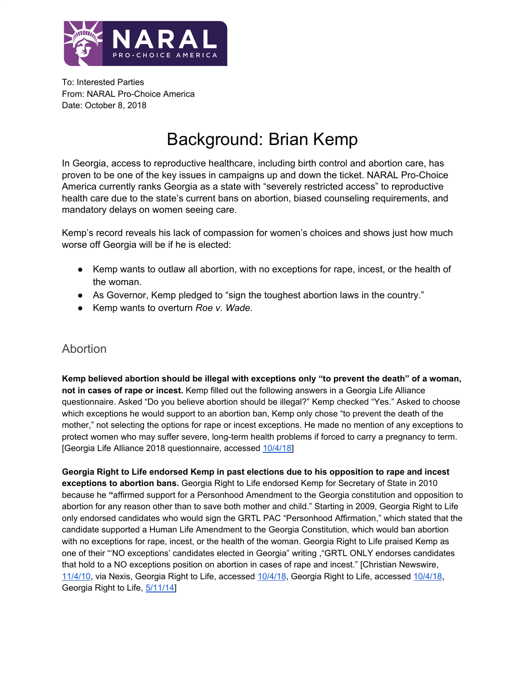

To: Interested Parties From: NARAL Pro-Choice America Date: October 8, 2018

# Background: Brian Kemp

In Georgia, access to reproductive healthcare, including birth control and abortion care, has proven to be one of the key issues in campaigns up and down the ticket. NARAL Pro-Choice America currently ranks Georgia as a state with "severely restricted access" to reproductive health care due to the state's current bans on abortion, biased counseling requirements, and mandatory delays on women seeing care.

Kemp's record reveals his lack of compassion for women's choices and shows just how much worse off Georgia will be if he is elected:

- Kemp wants to outlaw all abortion, with no exceptions for rape, incest, or the health of the woman.
- As Governor, Kemp pledged to "sign the toughest abortion laws in the country."
- Kemp wants to overturn *Roe v. Wade.*

## Abortion

**Kemp believed abortion should be illegal with exceptions only "to prevent the death" of a woman, not in cases of rape or incest.** Kemp filled out the following answers in a Georgia Life Alliance questionnaire. Asked "Do you believe abortion should be illegal?" Kemp checked "Yes." Asked to choose which exceptions he would support to an abortion ban, Kemp only chose "to prevent the death of the mother," not selecting the options for rape or incest exceptions. He made no mention of any exceptions to protect women who may suffer severe, long-term health problems if forced to carry a pregnancy to term. [Georgia Life Alliance 2018 questionnaire, accessed [10/4/18\]](http://georgialifealliance.com/wp-content/uploads/2018/01/Brian-Kemp.pdf)

**Georgia Right to Life endorsed Kemp in past elections due to his opposition to rape and incest exceptions to abortion bans.** Georgia Right to Life endorsed Kemp for Secretary of State in 2010 because he **"**affirmed support for a Personhood Amendment to the Georgia constitution and opposition to abortion for any reason other than to save both mother and child." Starting in 2009, Georgia Right to Life only endorsed candidates who would sign the GRTL PAC "Personhood Affirmation," which stated that the candidate supported a Human Life Amendment to the Georgia Constitution, which would ban abortion with no exceptions for rape, incest, or the health of the woman. Georgia Right to Life praised Kemp as one of their "'NO exceptions' candidates elected in Georgia" writing ,"GRTL ONLY endorses candidates that hold to a NO exceptions position on abortion in cases of rape and incest." [Christian Newswire, [11/4/10](http://www.christiannewswire.com/news/1919615422.html), via Nexis, Georgia Right to Life, accessed [10/4/18](https://grtlpac.org/2010-endorsements/), Georgia Right to Life, accessed [10/4/18,](https://grtlpac.org/endorsement-procedure/) Georgia Right to Life, [5/11/14](https://www.personhood.org/political/personhood-in-politics/9-statewide-no-exceptions-candidates-elected-in-georgia)]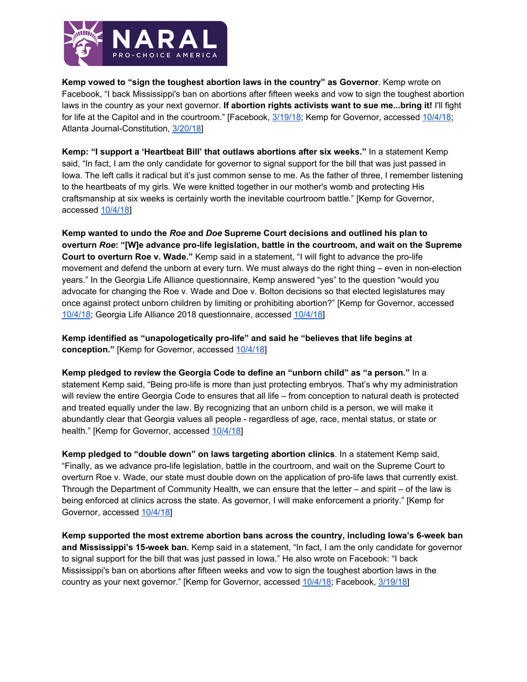

**Kemp vowed to "sign the toughest abortion laws in the country" as Governor**. Kemp wrote on Facebook, "I back Mississippi's ban on abortions after fifteen weeks and vow to sign the toughest abortion laws in the country as your next governor. **If abortion rights activists want to sue me...bring it!** I'll fight for life at the Capitol and in the courtroom." [Facebook, [3/19/18;](https://www.facebook.com/BrianKempGA/posts/10155471114506275?__xts__[0]=68.ARDWAvtpKl-z11xZY9sCqBEoN_3Oy9nJa2UL3YnodcstP9Qf8oBkP_yL1IZndq3LQRrttYINiCvPZdi_jMhj6wCxIqlJalir-0ghvUSCgzkPGEgi5VLZb-PtEDlSma5d9vDyGISbK50VgfTc7NXlrxxRquAvvYBKdXU95Y6QvR1f90HjaZwpqGI&__tn__=-R) Kemp for Governor, accessed [10/4/18](https://www.kempforgovernor.com/posts/news/kemp-i%E2%80%99ll-sign-fight-pro-life-legislation); Atlanta Journal-Constitution, [3/20/18\]](https://politics.myajc.com/blog/politics/kemp-vows-outdo-mississippi-and-sign-nation-toughest-abortion-restrictions/82QEEBktHVKOkaG7qW7LII/)

**Kemp: "I support a 'Heartbeat Bill' that outlaws abortions after six weeks."** In a statement Kemp said, "In fact, I am the only candidate for governor to signal support for the bill that was just passed in Iowa. The left calls it radical but it's just common sense to me. As the father of three, I remember listening to the heartbeats of my girls. We were knitted together in our mother's womb and protecting His craftsmanship at six weeks is certainly worth the inevitable courtroom battle." [Kemp for Governor, accessed [10/4/18](https://www.kempforgovernor.com/posts/news/kemp-i%E2%80%99ll-sign-fight-pro-life-legislation)]

**Kemp wanted to undo the** *Roe* **and** *Doe* **Supreme Court decisions and outlined his plan to overturn** *Roe***: "[W]e advance pro-life legislation, battle in the courtroom, and wait on the Supreme Court to overturn Roe v. Wade."** Kemp said in a statement, "I will fight to advance the pro-life movement and defend the unborn at every turn. We must always do the right thing – even in non-election years." In the Georgia Life Alliance questionnaire, Kemp answered "yes" to the question "would you advocate for changing the Roe v. Wade and Doe v. Bolton decisions so that elected legislatures may once against protect unborn children by limiting or prohibiting abortion?" [Kemp for Governor, accessed [10/4/18](https://www.kempforgovernor.com/posts/news/kemp-i%E2%80%99ll-sign-fight-pro-life-legislation); Georgia Life Alliance 2018 questionnaire, accessed [10/4/18\]](http://georgialifealliance.com/wp-content/uploads/2018/01/Brian-Kemp.pdf)

**Kemp identified as "unapologetically pro-life" and said he "believes that life begins at conception."** [Kemp for Governor, accessed [10/4/18\]](https://www.kempforgovernor.com/posts/news/kemp-i%E2%80%99ll-sign-fight-pro-life-legislation)

**Kemp pledged to review the Georgia Code to define an "unborn child" as "a person."** In a statement Kemp said, "Being pro-life is more than just protecting embryos. That's why my administration will review the entire Georgia Code to ensures that all life – from conception to natural death is protected and treated equally under the law. By recognizing that an unborn child is a person, we will make it abundantly clear that Georgia values all people - regardless of age, race, mental status, or state or health." [Kemp for Governor, accessed [10/4/18\]](https://www.kempforgovernor.com/posts/news/kemp-i%E2%80%99ll-sign-fight-pro-life-legislation)

**Kemp pledged to "double down" on laws targeting abortion clinics**. In a statement Kemp said, "Finally, as we advance pro-life legislation, battle in the courtroom, and wait on the Supreme Court to overturn Roe v. Wade, our state must double down on the application of pro-life laws that currently exist. Through the Department of Community Health, we can ensure that the letter – and spirit – of the law is being enforced at clinics across the state. As governor, I will make enforcement a priority." [Kemp for Governor, accessed [10/4/18](https://www.kempforgovernor.com/posts/news/kemp-i%E2%80%99ll-sign-fight-pro-life-legislation)]

**Kemp supported the most extreme abortion bans across the country, including Iowa's 6-week ban and Mississippi's 15-week ban.** Kemp said in a statement, "In fact, I am the only candidate for governor to signal support for the bill that was just passed in Iowa." He also wrote on Facebook: "I back Mississippi's ban on abortions after fifteen weeks and vow to sign the toughest abortion laws in the country as your next governor." [Kemp for Governor, accessed [10/4/18;](https://www.kempforgovernor.com/posts/news/kemp-i%E2%80%99ll-sign-fight-pro-life-legislation) Facebook, [3/19/18](https://www.facebook.com/BrianKempGA/posts/10155471114506275?__xts__[0]=68.ARDWAvtpKl-z11xZY9sCqBEoN_3Oy9nJa2UL3YnodcstP9Qf8oBkP_yL1IZndq3LQRrttYINiCvPZdi_jMhj6wCxIqlJalir-0ghvUSCgzkPGEgi5VLZb-PtEDlSma5d9vDyGISbK50VgfTc7NXlrxxRquAvvYBKdXU95Y6QvR1f90HjaZwpqGI&__tn__=-R)]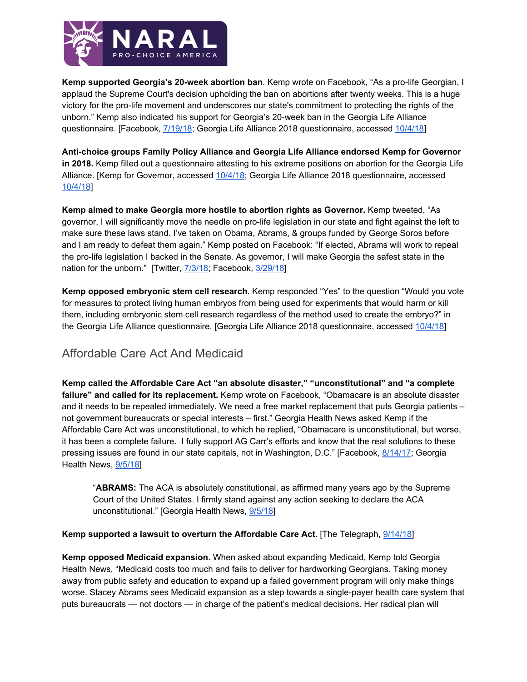

**Kemp supported Georgia's 20-week abortion ban**. Kemp wrote on Facebook, "As a pro-life Georgian, I applaud the Supreme Court's decision upholding the ban on abortions after twenty weeks. This is a huge victory for the pro-life movement and underscores our state's commitment to protecting the rights of the unborn." Kemp also indicated his support for Georgia's 20-week ban in the Georgia Life Alliance questionnaire. [Facebook, [7/19/18;](https://www.facebook.com/BrianKempGA/posts/10154753147846275?__xts__[0]=68.ARDZMSFbyqmgkgVaj_tF29LIhZF60JlGp-a69aSuXeWthRtIvZfzA2DrxrQ3lyq3QL6YJKpByGKrAF2NDcUGdiZhEC4rYnRDLI1wjL1cNshwMWrMUY1vNub1eVioh_z0SpzI6_r81fdgea2ONqFaXWIii8x78y0SLOYqLJjZyJQaJ-QSRmSE33c&__tn__=-R) Georgia Life Alliance 2018 questionnaire, accessed [10/4/18\]](http://georgialifealliance.com/wp-content/uploads/2018/01/Brian-Kemp.pdf)

**Anti-choice groups Family Policy Alliance and Georgia Life Alliance endorsed Kemp for Governor in 2018.** Kemp filled out a questionnaire attesting to his extreme positions on abortion for the Georgia Life Alliance. [Kemp for Governor, accessed [10/4/18](https://www.kempforgovernor.com/posts/news/kemp-i%E2%80%99ll-sign-fight-pro-life-legislation); Georgia Life Alliance 2018 questionnaire, accessed [10/4/18](http://georgialifealliance.com/wp-content/uploads/2018/01/Brian-Kemp.pdf)]

**Kemp aimed to make Georgia more hostile to abortion rights as Governor.** Kemp tweeted, "As governor, I will significantly move the needle on pro-life legislation in our state and fight against the left to make sure these laws stand. I've taken on Obama, Abrams, & groups funded by George Soros before and I am ready to defeat them again." Kemp posted on Facebook: "If elected, Abrams will work to repeal the pro-life legislation I backed in the Senate. As governor, I will make Georgia the safest state in the nation for the unborn." [Twitter, [7/3/18](https://twitter.com/BrianKempGA/status/1014202141500674051); Facebook, [3/29/18](https://www.facebook.com/BrianKempGA/posts/10155499513611275?__xts__%5B0%5D=68.ARADTWDZpEffJxOCFhnWnSgjRY2o95k48Kc5-T6cRJVrV12CHb4byrX9ZwAaz8mozhE8gde_p7lE41fsOM6t_HX0s1Nq_GOzyioxiTrk94INB2hCK89qEX6m0WkGkgLuUsD6GaUK9ZIY3JYP0QI85ukyIb3tGQ2tyaxbIbWjQWWiypDAfx1sTYU&__tn__=-R)]

**Kemp opposed embryonic stem cell research**. Kemp responded "Yes" to the question "Would you vote for measures to protect living human embryos from being used for experiments that would harm or kill them, including embryonic stem cell research regardless of the method used to create the embryo?" in the Georgia Life Alliance questionnaire. [Georgia Life Alliance 2018 questionnaire, accessed [10/4/18](http://georgialifealliance.com/wp-content/uploads/2018/01/Brian-Kemp.pdf)]

## Affordable Care Act And Medicaid

**Kemp called the Affordable Care Act "an absolute disaster," "unconstitutional" and "a complete failure" and called for its replacement.** Kemp wrote on Facebook, "Obamacare is an absolute disaster and it needs to be repealed immediately. We need a free market replacement that puts Georgia patients – not government bureaucrats or special interests – first." Georgia Health News asked Kemp if the Affordable Care Act was unconstitutional, to which he replied, "Obamacare is unconstitutional, but worse, it has been a complete failure. I fully support AG Carr's efforts and know that the real solutions to these pressing issues are found in our state capitals, not in Washington, D.C." [Facebook, [8/14/17;](https://www.facebook.com/BrianKempGA/posts/10154923521821275?__xts__%5B0%5D=68.ARATkF6LAHrB7EFjmcOoxizJ8GziHvNUuLUP8VXzDu1zzGuLm_1j48yZWU_v810806ZCJk2mX9CW4ds67qGUTpvw9-5Fi2uy3tl4P4m_cFPZWyCeLyA1FLtVSxQZHGavRDOSfa6e3I6UVzU9e_8u1LUNoHVFCuLSUu5PNNg6TO5ZKj9Uwr3hF1s&__tn__=-R) Georgia Health News, [9/5/18](https://www.georgiahealthnews.com/2018/09/medicaid-expansion-con-rural-crisis-gubernatorial-candidates-health-care/)]

"**ABRAMS:** The ACA is absolutely constitutional, as affirmed many years ago by the Supreme Court of the United States. I firmly stand against any action seeking to declare the ACA unconstitutional." [Georgia Health News, [9/5/18](https://www.georgiahealthnews.com/2018/09/medicaid-expansion-con-rural-crisis-gubernatorial-candidates-health-care/)]

#### **Kemp supported a lawsuit to overturn the Affordable Care Act.** [The Telegraph, [9/14/18](https://www.macon.com/news/politics-government/election/article218398400.html)]

**Kemp opposed Medicaid expansion**. When asked about expanding Medicaid, Kemp told Georgia Health News, "Medicaid costs too much and fails to deliver for hardworking Georgians. Taking money away from public safety and education to expand up a failed government program will only make things worse. Stacey Abrams sees Medicaid expansion as a step towards a single-payer health care system that puts bureaucrats — not doctors — in charge of the patient's medical decisions. Her radical plan will